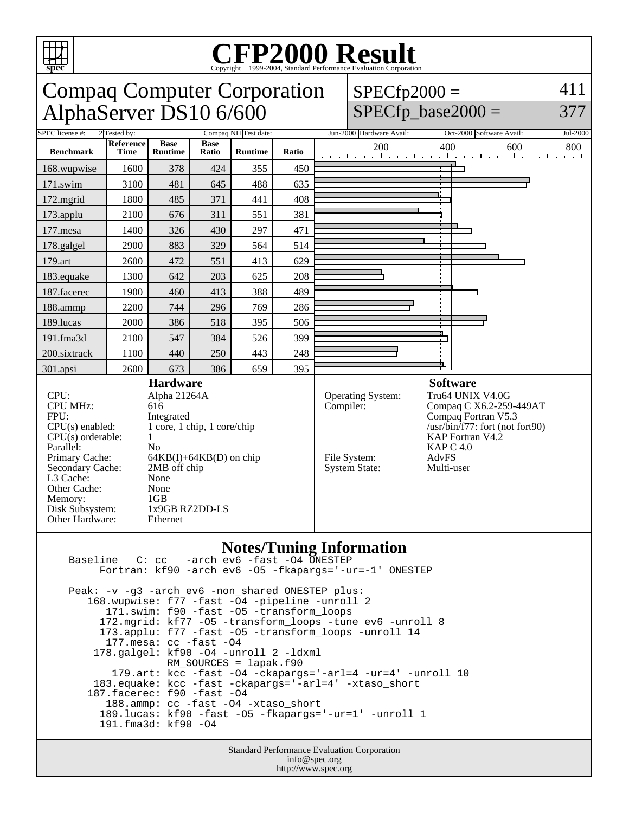

## Copyright ©1999-2004, Standard Performance Evaluation Corporation



 189.lucas: kf90 -fast -O5 -fkapargs='-ur=1' -unroll 1 191.fma3d: kf90 -O4

> Standard Performance Evaluation Corporation info@spec.org http://www.spec.org